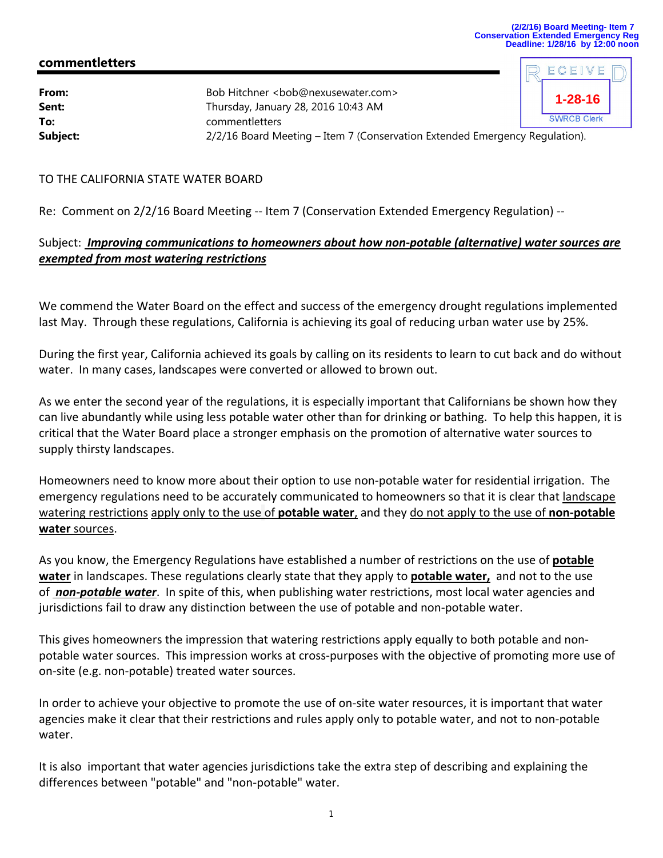ECEIV

# **commentletters**

| From:<br>Sent: | Bob Hitchner <bob@nexusewater.com><br/>Thursday, January 28, 2016 10:43 AM</bob@nexusewater.com> |  | $^{\circ}$ 1-28-16 $_{\circ}$ |  |
|----------------|--------------------------------------------------------------------------------------------------|--|-------------------------------|--|
| To:            | commentletters                                                                                   |  | <b>SWRCB Clerk</b>            |  |
| Subject:       | 2/2/16 Board Meeting – Item 7 (Conservation Extended Emergency Regulation).                      |  |                               |  |

### TO THE CALIFORNIA STATE WATER BOARD

Re: Comment on 2/2/16 Board Meeting -- Item 7 (Conservation Extended Emergency Regulation) --

# Subject: *Improving communications to homeowners about how non‐potable (alternative) water sources are exempted from most watering restrictions*

We commend the Water Board on the effect and success of the emergency drought regulations implemented last May. Through these regulations, California is achieving its goal of reducing urban water use by 25%.

During the first year, California achieved its goals by calling on its residents to learn to cut back and do without water. In many cases, landscapes were converted or allowed to brown out.

As we enter the second year of the regulations, it is especially important that Californians be shown how they can live abundantly while using less potable water other than for drinking or bathing. To help this happen, it is critical that the Water Board place a stronger emphasis on the promotion of alternative water sources to supply thirsty landscapes.

Homeowners need to know more about their option to use non‐potable water for residential irrigation. The emergency regulations need to be accurately communicated to homeowners so that it is clear that landscape watering restrictions apply only to the use of **potable water**, and they do not apply to the use of **non‐potable water** sources.

As you know, the Emergency Regulations have established a number of restrictions on the use of **potable water** in landscapes. These regulations clearly state that they apply to **potable water,** and not to the use of *non‐potable water*. In spite of this, when publishing water restrictions, most local water agencies and jurisdictions fail to draw any distinction between the use of potable and non‐potable water.

This gives homeowners the impression that watering restrictions apply equally to both potable and non‐ potable water sources. This impression works at cross‐purposes with the objective of promoting more use of on‐site (e.g. non‐potable) treated water sources.

In order to achieve your objective to promote the use of on‐site water resources, it is important that water agencies make it clear that their restrictions and rules apply only to potable water, and not to non‐potable water.

It is also important that water agencies jurisdictions take the extra step of describing and explaining the differences between "potable" and "non‐potable" water.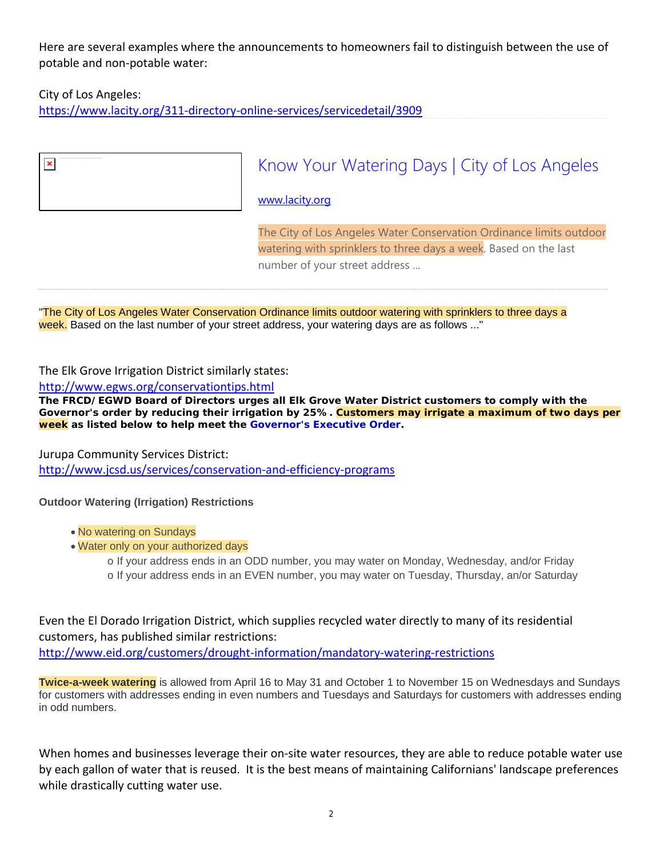Here are several examples where the announcements to homeowners fail to distinguish between the use of potable and non‐potable water:

## City of Los Angeles:

 $\pmb{\times}$ 

https://www.lacity.org/311‐directory‐online‐services/servicedetail/3909

# Know Your Watering Days | City of Los Angeles

www.lacity.org

The City of Los Angeles Water Conservation Ordinance limits outdoor watering with sprinklers to three days a week. Based on the last number of your street address ...

"The City of Los Angeles Water Conservation Ordinance limits outdoor watering with sprinklers to three days a week. Based on the last number of your street address, your watering days are as follows ..."

### The Elk Grove Irrigation District similarly states:

http://www.egws.org/conservationtips.html

**The FRCD/EGWD Board of Directors urges all Elk Grove Water District customers to comply with the Governor's order by reducing their irrigation by 25%. Customers may irrigate a maximum of two days per week as listed below to help meet the Governor's Executive Order.**

### Jurupa Community Services District:

http://www.jcsd.us/services/conservation‐and‐efficiency‐programs

### **Outdoor Watering (Irrigation) Restrictions**

- No watering on Sundays
- Water only on your authorized days
	- o If your address ends in an ODD number, you may water on Monday, Wednesday, and/or Friday o If your address ends in an EVEN number, you may water on Tuesday, Thursday, an/or Saturday

Even the El Dorado Irrigation District, which supplies recycled water directly to many of its residential customers, has published similar restrictions: http://www.eid.org/customers/drought-information/mandatory-watering-restrictions

**Twice-a-week watering** is allowed from April 16 to May 31 and October 1 to November 15 on Wednesdays and Sundays for customers with addresses ending in even numbers and Tuesdays and Saturdays for customers with addresses ending in odd numbers.

When homes and businesses leverage their on-site water resources, they are able to reduce potable water use by each gallon of water that is reused. It is the best means of maintaining Californians' landscape preferences while drastically cutting water use.